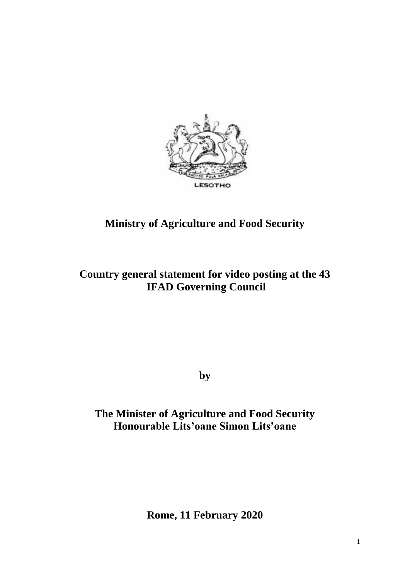

# **Ministry of Agriculture and Food Security**

## **Country general statement for video posting at the 43 IFAD Governing Council**

**by**

## **The Minister of Agriculture and Food Security Honourable Lits'oane Simon Lits'oane**

**Rome, 11 February 2020**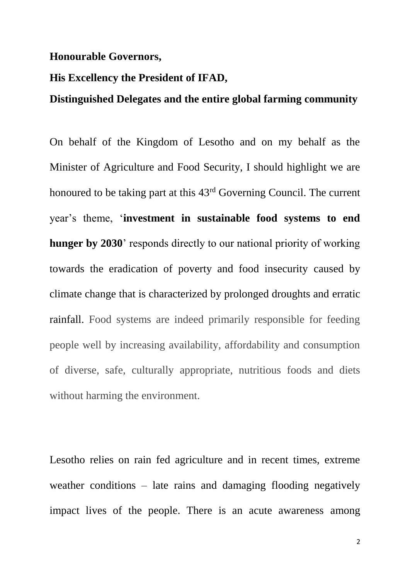#### **Honourable Governors,**

### **His Excellency the President of IFAD,**

### **Distinguished Delegates and the entire global farming community**

On behalf of the Kingdom of Lesotho and on my behalf as the Minister of Agriculture and Food Security, I should highlight we are honoured to be taking part at this 43rd Governing Council. The current year's theme, '**investment in sustainable food systems to end hunger by 2030**' responds directly to our national priority of working towards the eradication of poverty and food insecurity caused by climate change that is characterized by prolonged droughts and erratic rainfall. Food systems are indeed primarily responsible for feeding people well by increasing availability, affordability and consumption of diverse, safe, culturally appropriate, nutritious foods and diets without harming the environment.

Lesotho relies on rain fed agriculture and in recent times, extreme weather conditions – late rains and damaging flooding negatively impact lives of the people. There is an acute awareness among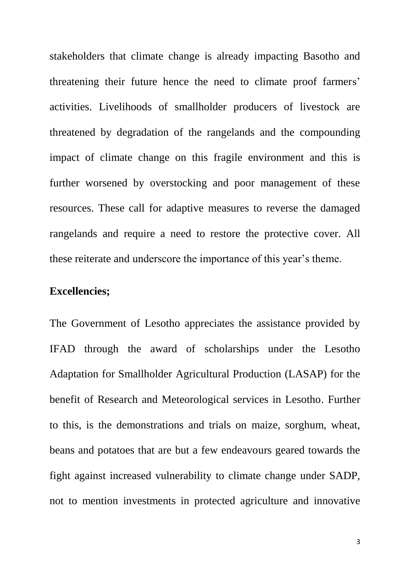stakeholders that climate change is already impacting Basotho and threatening their future hence the need to climate proof farmers' activities. Livelihoods of smallholder producers of livestock are threatened by degradation of the rangelands and the compounding impact of climate change on this fragile environment and this is further worsened by overstocking and poor management of these resources. These call for adaptive measures to reverse the damaged rangelands and require a need to restore the protective cover. All these reiterate and underscore the importance of this year's theme.

## **Excellencies;**

The Government of Lesotho appreciates the assistance provided by IFAD through the award of scholarships under the Lesotho Adaptation for Smallholder Agricultural Production (LASAP) for the benefit of Research and Meteorological services in Lesotho. Further to this, is the demonstrations and trials on maize, sorghum, wheat, beans and potatoes that are but a few endeavours geared towards the fight against increased vulnerability to climate change under SADP, not to mention investments in protected agriculture and innovative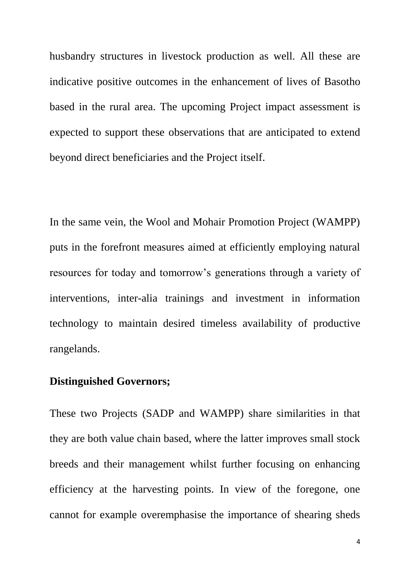husbandry structures in livestock production as well. All these are indicative positive outcomes in the enhancement of lives of Basotho based in the rural area. The upcoming Project impact assessment is expected to support these observations that are anticipated to extend beyond direct beneficiaries and the Project itself.

In the same vein, the Wool and Mohair Promotion Project (WAMPP) puts in the forefront measures aimed at efficiently employing natural resources for today and tomorrow's generations through a variety of interventions, inter-alia trainings and investment in information technology to maintain desired timeless availability of productive rangelands.

## **Distinguished Governors;**

These two Projects (SADP and WAMPP) share similarities in that they are both value chain based, where the latter improves small stock breeds and their management whilst further focusing on enhancing efficiency at the harvesting points. In view of the foregone, one cannot for example overemphasise the importance of shearing sheds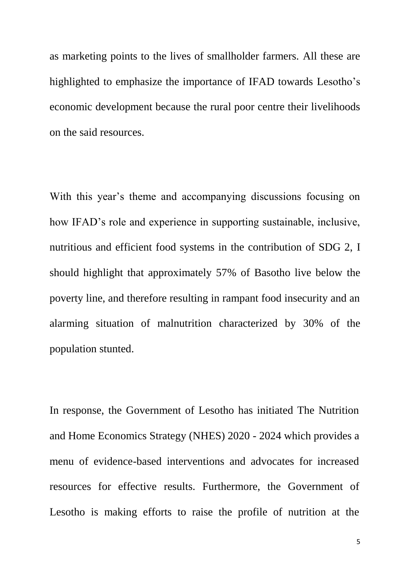as marketing points to the lives of smallholder farmers. All these are highlighted to emphasize the importance of IFAD towards Lesotho's economic development because the rural poor centre their livelihoods on the said resources.

With this year's theme and accompanying discussions focusing on how IFAD's role and experience in supporting sustainable, inclusive, nutritious and efficient food systems in the contribution of SDG 2, I should highlight that approximately 57% of Basotho live below the poverty line, and therefore resulting in rampant food insecurity and an alarming situation of malnutrition characterized by 30% of the population stunted.

In response, the Government of Lesotho has initiated The Nutrition and Home Economics Strategy (NHES) 2020 - 2024 which provides a menu of evidence-based interventions and advocates for increased resources for effective results. Furthermore, the Government of Lesotho is making efforts to raise the profile of nutrition at the